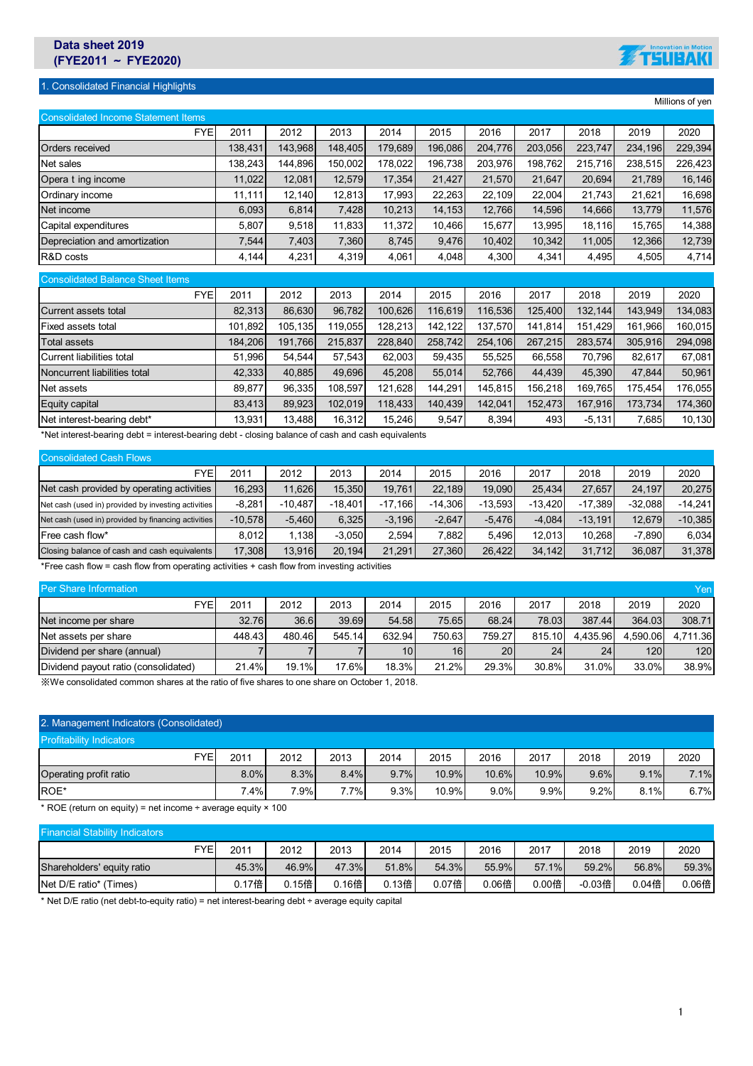## **Data sheet 2019 (FYE2011** ~ **FYE2020)**

## 1. Consolidated Financial Highlights



Millions of yen

| <b>Consolidated Income Statement Items</b> |         |         |         |         |         |         |         |         |         |         |
|--------------------------------------------|---------|---------|---------|---------|---------|---------|---------|---------|---------|---------|
| <b>FYE</b>                                 | 2011    | 2012    | 2013    | 2014    | 2015    | 2016    | 2017    | 2018    | 2019    | 2020    |
| <b>Orders received</b>                     | 138.431 | 143.968 | 148.405 | 179,689 | 196,086 | 204,776 | 203,056 | 223.747 | 234,196 | 229,394 |
| Net sales                                  | 138.243 | 144.896 | 150.002 | 178.022 | 196.738 | 203.976 | 198.762 | 215.716 | 238.515 | 226.423 |
| Opera t ing income                         | 11,022  | 12,081  | 12,579  | 17,354  | 21,427  | 21,570  | 21,647  | 20,694  | 21,789  | 16,146  |
| Ordinary income                            | 11,111  | 12,140  | 12,813  | 17.993  | 22,263  | 22,109  | 22,004  | 21.743  | 21,621  | 16,698  |
| Net income                                 | 6,093   | 6,814   | 7,428   | 10.213  | 14,153  | 12.766  | 14.596  | 14.666  | 13,779  | 11,576  |
| Capital expenditures                       | 5,807   | 9,518   | 11,833  | 11,372  | 10,466  | 15,677  | 13,995  | 18,116  | 15,765  | 14,388  |
| Depreciation and amortization              | 7,544   | 7,403   | 7,360   | 8.745   | 9,476   | 10,402  | 10.342  | 11.005  | 12,366  | 12,739  |
| R&D costs                                  | 4,144   | 4,231   | 4,319   | 4,061   | 4,048   | 4,300   | 4,341   | 4,495   | 4,505   | 4,714   |
| <b>Consolidated Balance Sheet Items</b>    |         |         |         |         |         |         |         |         |         |         |
| <b>FYE</b>                                 | 2011    | 2012    | 2013    | 2014    | 2015    | 2016    | 2017    | 2018    | 2019    | 2020    |
| Current assets total                       | 82,313  | 86,630  | 96,782  | 100,626 | 116,619 | 116,536 | 125,400 | 132.144 | 143,949 | 134,083 |
| Fived accets total                         | 101 802 | 105 135 | 110 055 | 128.213 | 142 122 | 137 570 | 141 814 | 151 429 | 161 966 | 160.015 |

| Fixed assets total           | 101.892 | 105.135 | 119.0551 | 128.213 | 142.122 | 137.570 | 141.814 | 151.429  | 161.966 | 160.015 |
|------------------------------|---------|---------|----------|---------|---------|---------|---------|----------|---------|---------|
| Total assets                 | 184.206 | 191.766 | 215.837  | 228.840 | 258.742 | 254.106 | 267.215 | 283.574  | 305.916 | 294.098 |
| Current liabilities total    | 51.996  | 54.544  | 57.543   | 62.003  | 59.435  | 55.525  | 66.558  | 70.796   | 82.617  | 67.081  |
| Noncurrent liabilities total | 42.333  | 40.885  | 49.696   | 45.208  | 55.014  | 52.766  | 44.439  | 45.390   | 47.844  | 50.961  |
| Net assets                   | 89.877  | 96.335  | 108.597  | 121.628 | 144.291 | 145.815 | 156.218 | 169.765  | 175.454 | 176.055 |
| Equity capital               | 83.413  | 89.923  | 102.019  | 118.433 | 140.439 | 142.041 | 152.473 | 167.916  | 173.734 | 174.360 |
| Net interest-bearing debt*   | 13.931  | 13.488  | 16.312   | 15.246  | 9.547   | 8.394   | 493     | $-5.131$ | .685    | 10,130  |

\*Net interest-bearing debt = interest-bearing debt - closing balance of cash and cash equivalents

| <b>Consolidated Cash Flows</b>                      |           |           |           |           |           |           |           |           |           |           |
|-----------------------------------------------------|-----------|-----------|-----------|-----------|-----------|-----------|-----------|-----------|-----------|-----------|
| FYE.                                                | 2011      | 2012      | 2013      | 2014      | 2015      | 2016      | 2017      | 2018      | 2019      | 2020      |
| Net cash provided by operating activities           | 16.293    | 11.626    | 15.350    | 19.761    | 22.189    | 19.090    | 25.434    | 27.657    | 24.197    | 20.275    |
| Net cash (used in) provided by investing activities | $-8.281$  | $-10.487$ | $-18.401$ | $-17.166$ | $-14.306$ | $-13.593$ | $-13.420$ | $-17.389$ | $-32.088$ | $-14.241$ |
| Net cash (used in) provided by financing activities | $-10.578$ | $-5.460$  | 6.325     | $-3.196$  | $-2.647$  | $-5.476$  | $-4.084$  | $-13.191$ | 12.679    | $-10.385$ |
| Free cash flow*                                     | 8.012     | 1.138     | $-3.050$  | 2.594     | 882.      | 5.496     | 12.013    | 10.268    | $-7.890$  | 6.034     |
| Closing balance of cash and cash equivalents        | 17,308    | 13.916    | 20.194    | 21.291    | 27.360    | 26.422    | 34.142    | 31.712    | 36.087    | 31,378    |

\*Free cash flow = cash flow from operating activities + cash flow from investing activities

| Per Share Information<br>Yen         |        |        |        |        |         |                 |        |          |          |          |  |  |  |
|--------------------------------------|--------|--------|--------|--------|---------|-----------------|--------|----------|----------|----------|--|--|--|
| FYE                                  | 2011   | 2012   | 2013   | 2014   | 2015    | 2016            | 2017   | 2018     | 2019     | 2020     |  |  |  |
| Net income per share                 | 32.76  | 36.6   | 39.69  | 54.58  | 75.65   | 68.24           | 78.03  | 387.44   | 364.03   | 308.71   |  |  |  |
| Net assets per share                 | 448.43 | 480.46 | 545.14 | 632.94 | 750.631 | 759.27          | 815.10 | 4.435.96 | 4.590.06 | 4.711.36 |  |  |  |
| Dividend per share (annual)          |        |        |        | 10     | 16      | 20 <sub>1</sub> | 24     | 24       | 120      | 120      |  |  |  |
| Dividend payout ratio (consolidated) | 21.4%  | 19.1%  | 17.6%  | 18.3%  | 21.2%   | 29.3%           | 30.8%  | 31.0%    | 33.0%    | 38.9%    |  |  |  |

※We consolidated common shares at the ratio of five shares to one share on October 1, 2018.

| 2. Management Indicators (Consolidated) |            |        |      |      |      |       |         |       |      |      |      |  |
|-----------------------------------------|------------|--------|------|------|------|-------|---------|-------|------|------|------|--|
| <b>Profitability Indicators</b>         |            |        |      |      |      |       |         |       |      |      |      |  |
|                                         | <b>FYE</b> | 2011   | 2012 | 2013 | 2014 | 2015  | 2016    | 2017  | 2018 | 2019 | 2020 |  |
| Operating profit ratio                  |            | 8.0%   | 8.3% | 8.4% | 9.7% | 10.9% | 10.6%   | 10.9% | 9.6% | 9.1% | 7.1% |  |
| ROE*                                    |            | $.4\%$ | 7.9% | 7.7% | 9.3% | 10.9% | $9.0\%$ | 9.9%  | 9.2% | 8.1% | 6.7% |  |

\* ROE (return on equity) = net income ÷ average equity × 100

| <b>Financial Stability Indicators</b> |                  |       |       |       |       |       |       |       |        |       |       |
|---------------------------------------|------------------|-------|-------|-------|-------|-------|-------|-------|--------|-------|-------|
|                                       | FYE <sub>1</sub> | 2011  | 2012  | 2013  | 2014  | 2015  | 2016  | 2017  | 2018   | 2019  | 2020  |
| Shareholders' equity ratio            |                  | 45.3% | 46.9% | 47.3% | 51.8% | 54.3% | 55.9% | 57.1% | 59.2%  | 56.8% | 59.3% |
| Net D/E ratio* (Times)                |                  | 0.17倍 | 0.15倍 | 0.16倍 | 0.13倍 | 0.07倍 | 0.06倍 | 0.00倍 | -0.03倍 | 0.04倍 | 0.06倍 |

\* Net D/E ratio (net debt-to-equity ratio) = net interest-bearing debt ÷ average equity capital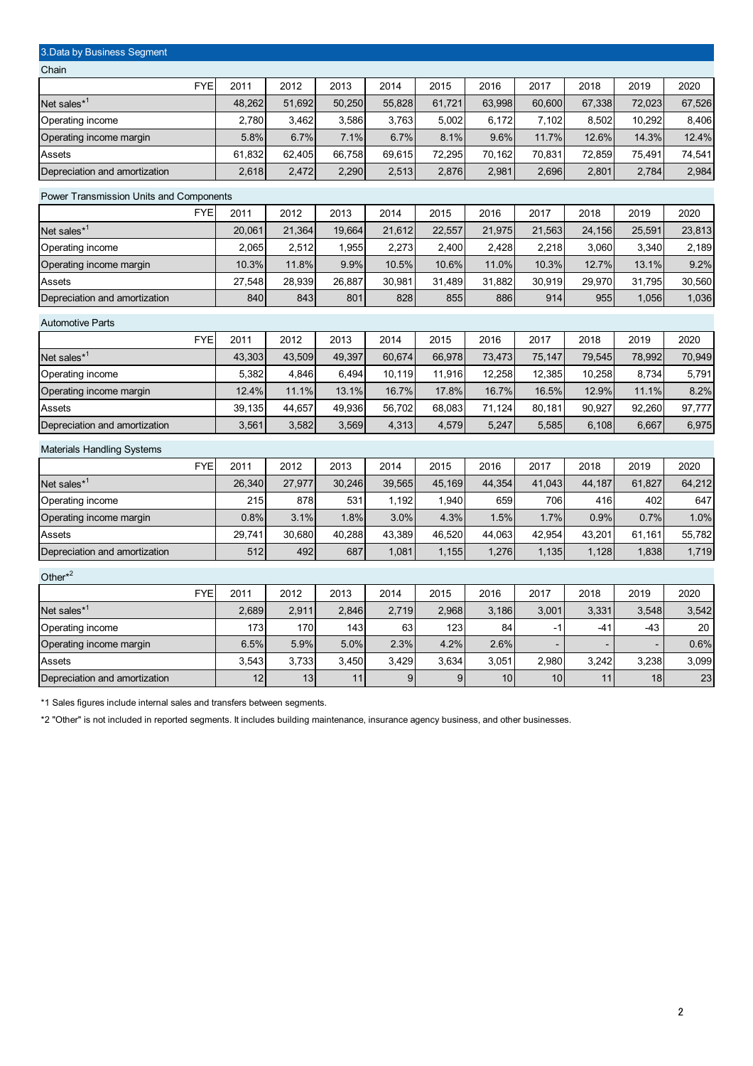| 3. Data by Business Segment             |            |        |        |        |        |        |        |        |        |                          |        |
|-----------------------------------------|------------|--------|--------|--------|--------|--------|--------|--------|--------|--------------------------|--------|
| Chain                                   |            |        |        |        |        |        |        |        |        |                          |        |
|                                         | <b>FYE</b> | 2011   | 2012   | 2013   | 2014   | 2015   | 2016   | 2017   | 2018   | 2019                     | 2020   |
| Net sales $*^1$                         |            | 48,262 | 51,692 | 50,250 | 55,828 | 61,721 | 63,998 | 60,600 | 67,338 | 72,023                   | 67,526 |
| Operating income                        |            | 2,780  | 3,462  | 3,586  | 3,763  | 5,002  | 6,172  | 7,102  | 8,502  | 10,292                   | 8,406  |
| Operating income margin                 |            | 5.8%   | 6.7%   | 7.1%   | 6.7%   | 8.1%   | 9.6%   | 11.7%  | 12.6%  | 14.3%                    | 12.4%  |
| Assets                                  |            | 61,832 | 62,405 | 66,758 | 69,615 | 72,295 | 70,162 | 70,831 | 72,859 | 75,491                   | 74,541 |
| Depreciation and amortization           |            | 2,618  | 2,472  | 2,290  | 2,513  | 2,876  | 2,981  | 2,696  | 2,801  | 2,784                    | 2,984  |
| Power Transmission Units and Components |            |        |        |        |        |        |        |        |        |                          |        |
|                                         | <b>FYE</b> | 2011   | 2012   | 2013   | 2014   | 2015   | 2016   | 2017   | 2018   | 2019                     | 2020   |
| Net sales* <sup>1</sup>                 |            | 20,061 | 21,364 | 19,664 | 21,612 | 22,557 | 21,975 | 21,563 | 24,156 | 25,591                   | 23,813 |
| Operating income                        |            | 2,065  | 2,512  | 1,955  | 2,273  | 2,400  | 2,428  | 2,218  | 3,060  | 3,340                    | 2,189  |
| Operating income margin                 |            | 10.3%  | 11.8%  | 9.9%   | 10.5%  | 10.6%  | 11.0%  | 10.3%  | 12.7%  | 13.1%                    | 9.2%   |
| Assets                                  |            | 27,548 | 28,939 | 26,887 | 30,981 | 31,489 | 31,882 | 30,919 | 29,970 | 31,795                   | 30,560 |
| Depreciation and amortization           |            | 840    | 843    | 801    | 828    | 855    | 886    | 914    | 955    | 1,056                    | 1,036  |
| <b>Automotive Parts</b>                 |            |        |        |        |        |        |        |        |        |                          |        |
|                                         | <b>FYE</b> | 2011   | 2012   | 2013   | 2014   | 2015   | 2016   | 2017   | 2018   | 2019                     | 2020   |
| Net sales <sup>*1</sup>                 |            | 43,303 | 43,509 | 49,397 | 60,674 | 66,978 | 73,473 | 75,147 | 79,545 | 78,992                   | 70,949 |
| Operating income                        |            | 5,382  | 4,846  | 6,494  | 10,119 | 11,916 | 12,258 | 12,385 | 10,258 | 8,734                    | 5,791  |
| Operating income margin                 |            | 12.4%  | 11.1%  | 13.1%  | 16.7%  | 17.8%  | 16.7%  | 16.5%  | 12.9%  | 11.1%                    | 8.2%   |
| Assets                                  |            | 39,135 | 44,657 | 49,936 | 56,702 | 68,083 | 71,124 | 80,181 | 90,927 | 92,260                   | 97,777 |
| Depreciation and amortization           |            | 3,561  | 3,582  | 3,569  | 4,313  | 4,579  | 5,247  | 5,585  | 6,108  | 6,667                    | 6,975  |
| <b>Materials Handling Systems</b>       |            |        |        |        |        |        |        |        |        |                          |        |
|                                         | <b>FYE</b> | 2011   | 2012   | 2013   | 2014   | 2015   | 2016   | 2017   | 2018   | 2019                     | 2020   |
| Net sales*1                             |            | 26,340 | 27,977 | 30,246 | 39,565 | 45,169 | 44,354 | 41,043 | 44,187 | 61,827                   | 64,212 |
| Operating income                        |            | 215    | 878    | 531    | 1,192  | 1,940  | 659    | 706    | 416    | 402                      | 647    |
| Operating income margin                 |            | 0.8%   | 3.1%   | 1.8%   | 3.0%   | 4.3%   | 1.5%   | 1.7%   | 0.9%   | 0.7%                     | 1.0%   |
| Assets                                  |            | 29,741 | 30,680 | 40,288 | 43,389 | 46,520 | 44,063 | 42,954 | 43,201 | 61,161                   | 55,782 |
| Depreciation and amortization           |            | 512    | 492    | 687    | 1,081  | 1,155  | 1,276  | 1,135  | 1,128  | 1,838                    | 1,719  |
| Other $*^2$                             |            |        |        |        |        |        |        |        |        |                          |        |
|                                         | <b>FYE</b> | 2011   | 2012   | 2013   | 2014   | 2015   | 2016   | 2017   | 2018   | 2019                     | 2020   |
| Net sales <sup>*1</sup>                 |            | 2,689  | 2,911  | 2,846  | 2,719  | 2,968  | 3,186  | 3,001  | 3,331  | 3,548                    | 3,542  |
| Operating income                        |            | 173    | 170    | 143    | 63     | 123    | 84     | -1     | $-41$  | -43                      | 20     |
| Operating income margin                 |            | 6.5%   | 5.9%   | 5.0%   | 2.3%   | 4.2%   | 2.6%   |        |        | $\overline{\phantom{a}}$ | 0.6%   |
| Assets                                  |            | 3,543  | 3,733  | 3,450  | 3,429  | 3,634  | 3,051  | 2,980  | 3,242  | 3,238                    | 3,099  |
| Depreciation and amortization           |            | 12     | 13     | 11     | 9      | 9      | 10     | 10     | 11     | 18                       | 23     |
|                                         |            |        |        |        |        |        |        |        |        |                          |        |

\*1 Sales figures include internal sales and transfers between segments.

\*2 "Other" is not included in reported segments. It includes building maintenance, insurance agency business, and other businesses.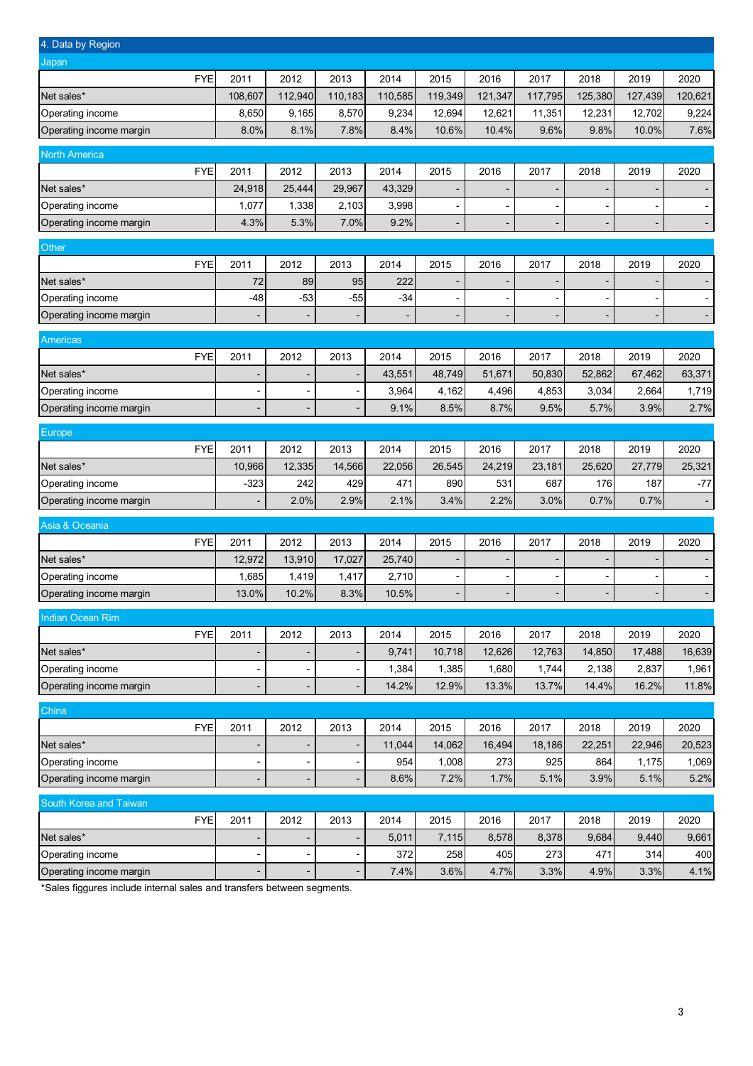| 4. Data by Region                           |            |                                            |         |                              |             |                          |                              |                              |                          |                          |                          |
|---------------------------------------------|------------|--------------------------------------------|---------|------------------------------|-------------|--------------------------|------------------------------|------------------------------|--------------------------|--------------------------|--------------------------|
| Japan                                       |            |                                            |         |                              |             |                          |                              |                              |                          |                          |                          |
|                                             | <b>FYE</b> | 2011                                       | 2012    | 2013                         | 2014        | 2015                     | 2016                         | 2017                         | 2018                     | 2019                     | 2020                     |
| Net sales*                                  |            | 108,607                                    | 112,940 | 110,183                      | 110,585     | 119,349                  | 121,347                      | 117,795                      | 125,380                  | 127,439                  | 120,621                  |
| Operating income                            |            | 8,650                                      | 9,165   | 8,570                        | 9,234       | 12,694                   | 12,621                       | 11,351                       | 12,231                   | 12,702                   | 9,224                    |
| Operating income margin                     |            | 8.0%                                       | 8.1%    | 7.8%                         | 8.4%        | 10.6%                    | 10.4%                        | 9.6%                         | 9.8%                     | 10.0%                    | 7.6%                     |
| <b>North America</b>                        |            |                                            |         |                              |             |                          |                              |                              |                          |                          |                          |
|                                             | <b>FYE</b> | 2011                                       | 2012    | 2013                         | 2014        | 2015                     | 2016                         | 2017                         | 2018                     | 2019                     | 2020                     |
| Net sales*                                  |            | 24,918                                     | 25,444  | 29,967                       | 43,329      | $\overline{\phantom{a}}$ |                              | $\qquad \qquad \blacksquare$ |                          | -                        |                          |
| Operating income                            |            | 1,077                                      | 1,338   | 2,103                        | 3,998       | $\overline{\phantom{a}}$ |                              | $\overline{a}$               |                          | $\overline{a}$           |                          |
| Operating income margin                     |            | 4.3%                                       | 5.3%    | 7.0%                         | 9.2%        |                          |                              | -                            |                          |                          |                          |
|                                             |            |                                            |         |                              |             |                          |                              |                              |                          |                          |                          |
| Other                                       | <b>FYE</b> | 2011                                       | 2012    | 2013                         | 2014        | 2015                     | 2016                         | 2017                         | 2018                     | 2019                     | 2020                     |
| Net sales*                                  |            | 72                                         | 89      | 95                           | 222         | $\overline{\phantom{a}}$ |                              | $\overline{\phantom{a}}$     |                          | $\overline{\phantom{0}}$ |                          |
| Operating income                            |            | $-48$                                      | $-53$   | $-55$                        | $-34$       |                          |                              |                              |                          |                          |                          |
| Operating income margin                     |            |                                            |         |                              |             | $\overline{\phantom{a}}$ | $\qquad \qquad \blacksquare$ | -                            | $\overline{\phantom{0}}$ | -                        | $\overline{\phantom{a}}$ |
|                                             |            |                                            |         |                              |             |                          |                              |                              |                          |                          |                          |
| <b>Americas</b>                             |            |                                            |         |                              |             |                          |                              |                              |                          |                          |                          |
|                                             | FYE        | 2011                                       | 2012    | 2013                         | 2014        | 2015                     | 2016                         | 2017                         | 2018                     | 2019                     | 2020                     |
| Net sales*                                  |            | $\overline{a}$                             |         |                              | 43,551      | 48,749                   | 51,671                       | 50,830                       | 52,862                   | 67,462                   | 63,371                   |
| Operating income                            |            |                                            |         |                              | 3,964       | 4,162                    | 4,496                        | 4,853                        | 3,034                    | 2,664                    | 1,719                    |
| Operating income margin                     |            | $\overline{a}$                             |         |                              | 9.1%        | 8.5%                     | 8.7%                         | 9.5%                         | 5.7%                     | 3.9%                     | 2.7%                     |
| Europe                                      |            |                                            |         |                              |             |                          |                              |                              |                          |                          |                          |
|                                             | FYE        | 2011                                       | 2012    | 2013                         | 2014        | 2015                     | 2016                         | 2017                         | 2018                     | 2019                     | 2020                     |
| Net sales*                                  |            | 10,966                                     | 12,335  | 14,566                       | 22,056      | 26,545                   | 24,219                       | 23,181                       | 25,620                   | 27,779                   | 25,321                   |
| Operating income                            |            | $-323$                                     | 242     | 429                          | 471         | 890                      | 531                          | 687                          | 176                      | 187                      | $-77$                    |
| Operating income margin                     |            | $\overline{\phantom{a}}$                   | 2.0%    | 2.9%                         | 2.1%        | 3.4%                     | 2.2%                         | 3.0%                         | 0.7%                     | 0.7%                     |                          |
| Asia & Oceania                              |            |                                            |         |                              |             |                          |                              |                              |                          |                          |                          |
|                                             | <b>FYE</b> | 2011                                       | 2012    | 2013                         | 2014        | 2015                     | 2016                         | 2017                         | 2018                     | 2019                     | 2020                     |
| Net sales*                                  |            | 12,972                                     | 13,910  | 17,027                       | 25,740      | $\overline{\phantom{a}}$ | $\overline{\phantom{0}}$     | $\overline{a}$               | $\overline{a}$           | $\overline{\phantom{0}}$ |                          |
| Operating income                            |            | 1,685                                      | 1,419   | 1,417                        | 2,710       | $\overline{\phantom{a}}$ |                              |                              |                          |                          |                          |
| Operating income margin                     |            | 13.0%                                      | 10.2%   | 8.3%                         | 10.5%       | $\overline{\phantom{a}}$ |                              | $\qquad \qquad \blacksquare$ |                          |                          |                          |
| Indian Ocean Rim                            |            |                                            |         |                              |             |                          |                              |                              |                          |                          |                          |
|                                             | <b>FYE</b> | 2011                                       | 2012    | 2013                         | 2014        | 2015                     | 2016                         | 2017                         | 2018                     | 2019                     | 2020                     |
| Net sales*                                  |            | $\overline{\phantom{a}}$                   |         |                              | 9,741       | 10,718                   | 12,626                       | 12,763                       | 14,850                   | 17,488                   | 16,639                   |
| Operating income                            |            | $\overline{\phantom{a}}$                   |         | $\overline{\phantom{a}}$     | 1,384       | 1,385                    | 1,680                        | 1,744                        | 2,138                    | 2,837                    | 1,961                    |
| Operating income margin                     |            | $\overline{\phantom{a}}$                   |         | $\overline{\phantom{a}}$     | 14.2%       | 12.9%                    | 13.3%                        | 13.7%                        | 14.4%                    | 16.2%                    | 11.8%                    |
|                                             |            |                                            |         |                              |             |                          |                              |                              |                          |                          |                          |
| China                                       |            |                                            |         |                              |             |                          |                              |                              |                          |                          |                          |
|                                             | <b>FYE</b> | 2011                                       | 2012    | 2013                         | 2014        | 2015                     | 2016                         | 2017                         | 2018                     | 2019                     | 2020                     |
| Net sales*                                  |            | $\overline{\phantom{a}}$                   |         | $\overline{\phantom{a}}$     | 11,044      | 14,062                   | 16,494                       | 18,186                       | 22,251                   | 22,946                   | 20,523                   |
| Operating income<br>Operating income margin |            | $\overline{a}$<br>$\overline{\phantom{a}}$ |         | $\overline{\phantom{a}}$     | 954<br>8.6% | 1,008<br>7.2%            | 273<br>1.7%                  | 925<br>5.1%                  | 864<br>3.9%              | 1,175<br>5.1%            | 1,069<br>5.2%            |
|                                             |            |                                            |         |                              |             |                          |                              |                              |                          |                          |                          |
| South Korea and Taiwan                      |            |                                            |         |                              |             |                          |                              |                              |                          |                          |                          |
|                                             | <b>FYE</b> | 2011                                       | 2012    | 2013                         | 2014        | 2015                     | 2016                         | 2017                         | 2018                     | 2019                     | 2020                     |
| Net sales*                                  |            | $\overline{a}$                             |         | $\qquad \qquad \blacksquare$ | 5,011       | 7,115                    | 8,578                        | 8,378                        | 9,684                    | 9,440                    | 9,661                    |
| Operating income                            |            | $\overline{a}$                             |         |                              | 372         | 258                      | 405                          | 273                          | 471                      | 314                      | 400                      |
| Operating income margin                     |            |                                            |         |                              | 7.4%        | 3.6%                     | 4.7%                         | 3.3%                         | 4.9%                     | 3.3%                     | 4.1%                     |

\*Sales figgures include internal sales and transfers between segments.